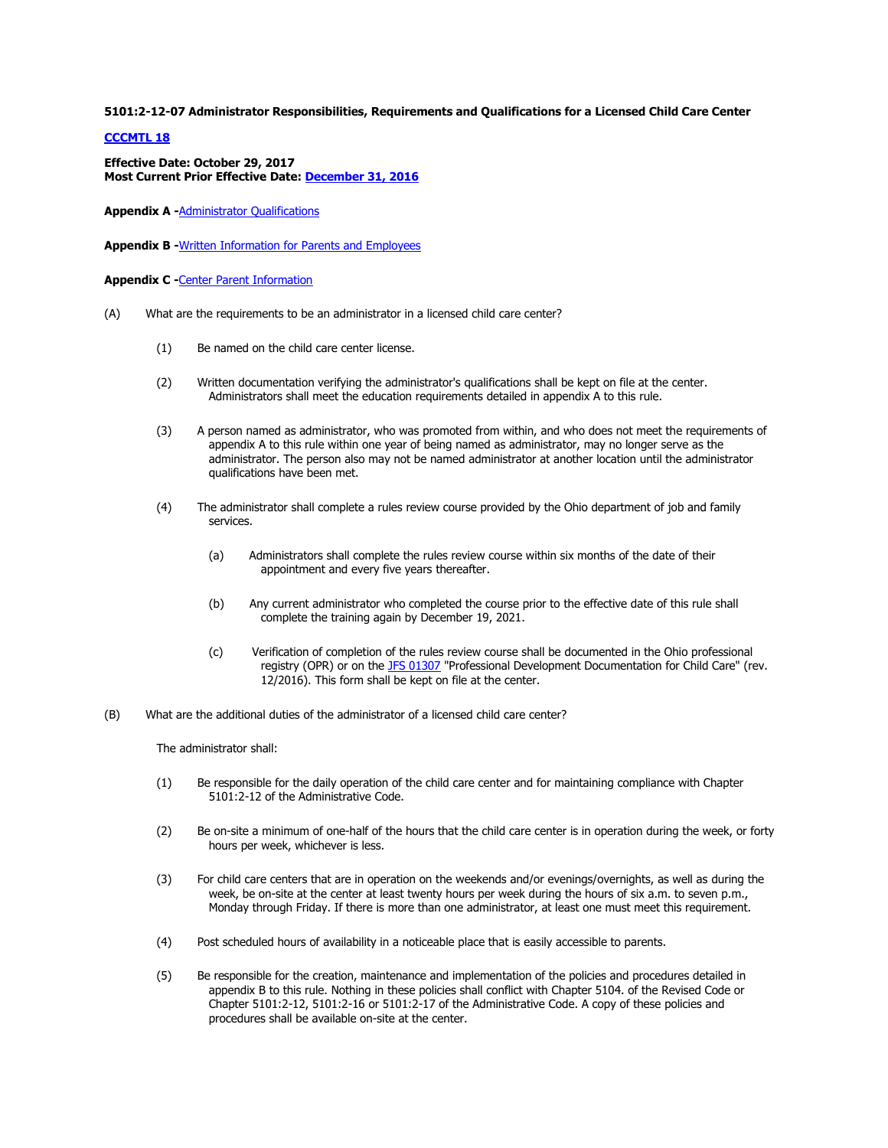**5101:2-12-07 Administrator Responsibilities, Requirements and Qualifications for a Licensed Child Care Center** 

## **[CCCMTL 18](http://emanuals.jfs.ohio.gov/letter/CCCMTL18)**

**Effective Date: October 29, 2017 Most Current Prior Effective Date: [December 31, 2016](http://emanuals.jfs.ohio.gov/history/2148261417/ChildCare/ChildCareCenter/Rules/5101-2-12-07.stm)**

**Appendix A -**[Administrator Qualifications](http://emanuals.jfs.ohio.gov/pdf/pdf-forms/2-12-07APXA.pdf)

**Appendix B -**[Written Information for Parents and Employees](http://emanuals.jfs.ohio.gov/pdf/pdf-forms/2-12-07APXB.pdf)

**Appendix C -**[Center Parent Information](http://emanuals.jfs.ohio.gov/pdf/pdf-forms/2-12-07APXC.pdf)

- (A) What are the requirements to be an administrator in a licensed child care center?
	- (1) Be named on the child care center license.
	- (2) Written documentation verifying the administrator's qualifications shall be kept on file at the center. Administrators shall meet the education requirements detailed in appendix A to this rule.
	- (3) A person named as administrator, who was promoted from within, and who does not meet the requirements of appendix A to this rule within one year of being named as administrator, may no longer serve as the administrator. The person also may not be named administrator at another location until the administrator qualifications have been met.
	- (4) The administrator shall complete a rules review course provided by the Ohio department of job and family services.
		- (a) Administrators shall complete the rules review course within six months of the date of their appointment and every five years thereafter.
		- (b) Any current administrator who completed the course prior to the effective date of this rule shall complete the training again by December 19, 2021.
		- (c) Verification of completion of the rules review course shall be documented in the Ohio professional registry (OPR) or on th[e JFS 01307](http://www.odjfs.state.oh.us/forms/num/JFS01307) "Professional Development Documentation for Child Care" (rev. 12/2016). This form shall be kept on file at the center.
- (B) What are the additional duties of the administrator of a licensed child care center?

The administrator shall:

- (1) Be responsible for the daily operation of the child care center and for maintaining compliance with Chapter 5101:2-12 of the Administrative Code.
- (2) Be on-site a minimum of one-half of the hours that the child care center is in operation during the week, or forty hours per week, whichever is less.
- (3) For child care centers that are in operation on the weekends and/or evenings/overnights, as well as during the week, be on-site at the center at least twenty hours per week during the hours of six a.m. to seven p.m., Monday through Friday. If there is more than one administrator, at least one must meet this requirement.
- (4) Post scheduled hours of availability in a noticeable place that is easily accessible to parents.
- (5) Be responsible for the creation, maintenance and implementation of the policies and procedures detailed in appendix B to this rule. Nothing in these policies shall conflict with Chapter 5104. of the Revised Code or Chapter 5101:2-12, 5101:2-16 or 5101:2-17 of the Administrative Code. A copy of these policies and procedures shall be available on-site at the center.